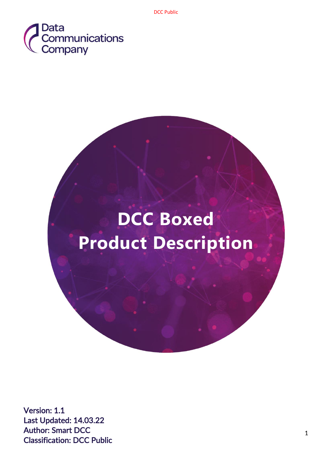

# **DCC Boxed Product Description**

Version: 1.1 Last Updated: 14.03.22 Author: Smart DCC Classification: DCC Public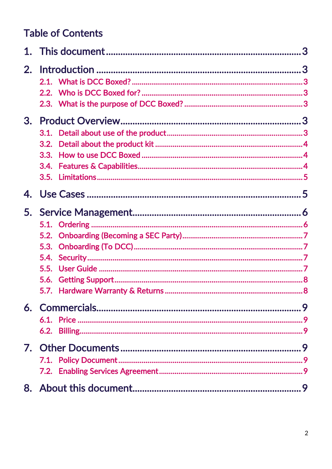# **Table of Contents**

<span id="page-1-0"></span>

| 2. |  |  |
|----|--|--|
|    |  |  |
|    |  |  |
|    |  |  |
| 3. |  |  |
|    |  |  |
|    |  |  |
|    |  |  |
|    |  |  |
|    |  |  |
|    |  |  |
|    |  |  |
|    |  |  |
|    |  |  |
|    |  |  |
|    |  |  |
|    |  |  |
|    |  |  |
|    |  |  |
|    |  |  |
|    |  |  |
|    |  |  |
|    |  |  |
|    |  |  |
|    |  |  |
|    |  |  |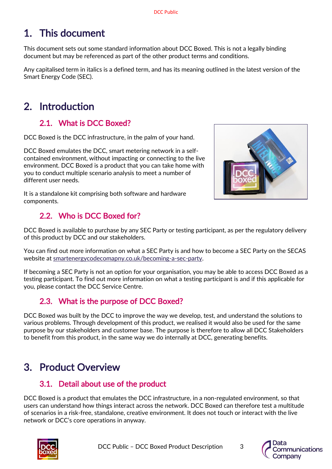# 1. This document

This document sets out some standard information about DCC Boxed. This is not a legally binding document but may be referenced as part of the other product terms and conditions.

Any capitalised term in italics is a defined term, and has its meaning outlined in the latest version of the Smart Energy Code (SEC).

# <span id="page-2-0"></span>2. Introduction

## 2.1. What is DCC Boxed?

<span id="page-2-1"></span>DCC Boxed is the DCC infrastructure, in the palm of your hand.

DCC Boxed emulates the DCC, smart metering network in a selfcontained environment, without impacting or connecting to the live environment. DCC Boxed is a product that you can take home with you to conduct multiple scenario analysis to meet a number of different user needs.



It is a standalone kit comprising both software and hardware components.

# 2.2. Who is DCC Boxed for?

<span id="page-2-2"></span>DCC Boxed is available to purchase by any SEC Party or testing participant, as per the regulatory delivery of this product by DCC and our stakeholders.

You can find out more information on what a SEC Party is and how to become a SEC Party on the SECAS website at smartenergycodecomapny.co.uk/becoming-a-sec-party.

If becoming a SEC Party is not an option for your organisation, you may be able to access DCC Boxed as a testing participant. To find out more information on what a testing participant is and if this applicable for you, please contact the DCC Service Centre.

# 2.3. What is the purpose of DCC Boxed?

<span id="page-2-3"></span>DCC Boxed was built by the DCC to improve the way we develop, test, and understand the solutions to various problems. Through development of this product, we realised it would also be used for the same purpose by our stakeholders and customer base. The purpose is therefore to allow all DCC Stakeholders to benefit from this product, in the same way we do internally at DCC, generating benefits.

# <span id="page-2-4"></span>3. Product Overview

### 3.1. Detail about use of the product

<span id="page-2-5"></span>DCC Boxed is a product that emulates the DCC infrastructure, in a non-regulated environment, so that users can understand how things interact across the network. DCC Boxed can therefore test a multitude of scenarios in a risk-free, standalone, creative environment. It does not touch or interact with the live network or DCC's core operations in anyway.



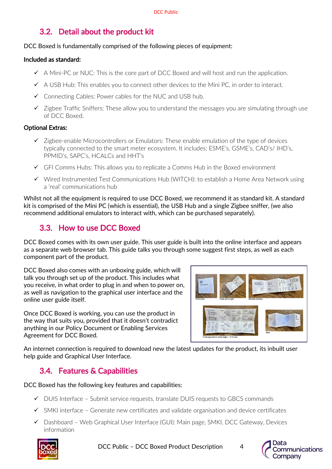# 3.2. Detail about the product kit

#### <span id="page-3-0"></span>DCC Boxed is fundamentally comprised of the following pieces of equipment:

#### Included as standard:

- $\checkmark$  A Mini-PC or NUC: This is the core part of DCC Boxed and will host and run the application.
- $\checkmark$  A USB Hub: This enables you to connect other devices to the Mini PC, in order to interact.
- ✓ Connecting Cables: Power cables for the NUC and USB hub.
- ✓ Zigbee Traffic Sniffers: These allow you to understand the messages you are simulating through use of DCC Boxed.

#### Optional Extras:

- $\checkmark$  Zigbee-enable Microcontrollers or Emulators: These enable emulation of the type of devices typically connected to the smart meter ecosystem. It includes: ESME's, GSME's, CAD's/ IHD's, PPMID's, SAPC's, HCALCs and HHT's
- ✓ GFI Comms Hubs: This allows you to replicate a Comms Hub in the Boxed environment
- ✓ Wired Instrumented Test Communications Hub (WITCH): to establish a Home Area Network using a 'real' communications hub

Whilst not all the equipment is required to use DCC Boxed, we recommend it as standard kit. A standard kit is comprised of the Mini PC (which is essential), the USB Hub and a single Zigbee sniffer, (we also recommend additional emulators to interact with, which can be purchased separately).

### 3.3. How to use DCC Boxed

<span id="page-3-1"></span>DCC Boxed comes with its own user guide. This user guide is built into the online interface and appears as a separate web browser tab. This guide talks you through some suggest first steps, as well as each component part of the product.

DCC Boxed also comes with an unboxing guide, which will talk you through set up of the product. This includes what you receive, in what order to plug in and when to power on, as well as navigation to the graphical user interface and the online user guide itself.

Once DCC Boxed is working, you can use the product in the way that suits you, provided that it doesn't contradict anything in our Policy Document or Enabling Services Agreement for DCC Boxed.



An internet connection is required to download new the latest updates for the product, its inbuilt user help guide and Graphical User Interface.

### 3.4. Features & Capabilities

<span id="page-3-2"></span>DCC Boxed has the following key features and capabilities:

- ✓ DUIS Interface Submit service requests, translate DUIS requests to GBCS commands
- $\checkmark$  SMKI interface Generate new certificates and validate organisation and device certificates
- ✓ Dashboard Web Graphical User Interface (GUI): Main page, SMKI, DCC Gateway, Devices information



DCC Public – DCC Boxed Product Description 4



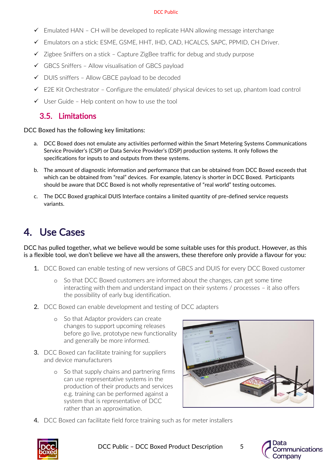#### DCC Public

- $\checkmark$  Emulated HAN CH will be developed to replicate HAN allowing message interchange
- ✓ Emulators on a stick: ESME, GSME, HHT, IHD, CAD, HCALCS, SAPC, PPMID, CH Driver.
- $\checkmark$  Zigbee Sniffers on a stick Capture ZigBee traffic for debug and study purpose
- $\checkmark$  GBCS Sniffers Allow visualisation of GBCS payload
- ✓ DUIS sniffers Allow GBCE payload to be decoded
- $\checkmark$  E2E Kit Orchestrator Configure the emulated/ physical devices to set up, phantom load control
- <span id="page-4-0"></span> $\checkmark$  User Guide – Help content on how to use the tool

### 3.5. Limitations

#### DCC Boxed has the following key limitations:

- a. DCC Boxed does not emulate any activities performed within the Smart Metering Systems Communications Service Provider's (CSP) or Data Service Provider's (DSP) production systems. It only follows the specifications for inputs to and outputs from these systems.
- b. The amount of diagnostic information and performance that can be obtained from DCC Boxed exceeds that which can be obtained from "real" devices. For example, latency is shorter in DCC Boxed. Participants should be aware that DCC Boxed is not wholly representative of "real world" testing outcomes.
- c. The DCC Boxed graphical DUIS Interface contains a limited quantity of pre-defined service requests variants.

# <span id="page-4-1"></span>4. Use Cases

DCC has pulled together, what we believe would be some suitable uses for this product. However, as this is a flexible tool, we don't believe we have all the answers, these therefore only provide a flavour for you:

- 1. DCC Boxed can enable testing of new versions of GBCS and DUIS for every DCC Boxed customer
	- o So that DCC Boxed customers are informed about the changes, can get some time interacting with them and understand impact on their systems / processes – it also offers the possibility of early bug identification.
- 2. DCC Boxed can enable development and testing of DCC adapters
	- o So that Adaptor providers can create changes to support upcoming releases before go live, prototype new functionality and generally be more informed.
- 3. DCC Boxed can facilitate training for suppliers and device manufacturers
	- o So that supply chains and partnering firms can use representative systems in the production of their products and services e.g. training can be performed against a system that is representative of DCC rather than an approximation.



4. DCC Boxed can facilitate field force training such as for meter installers



DCC Public - DCC Boxed Product Description 5

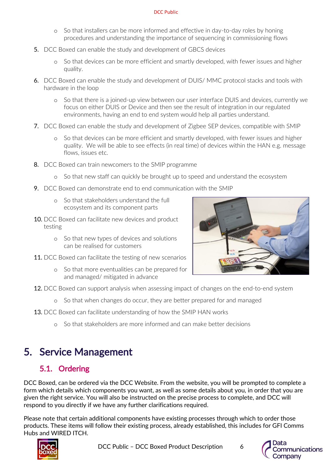#### DCC Public

- o So that installers can be more informed and effective in day-to-day roles by honing procedures and understanding the importance of sequencing in commissioning flows
- 5. DCC Boxed can enable the study and development of GBCS devices
	- o So that devices can be more efficient and smartly developed, with fewer issues and higher quality.
- 6. DCC Boxed can enable the study and development of DUIS/ MMC protocol stacks and tools with hardware in the loop
	- o So that there is a joined-up view between our user interface DUIS and devices, currently we focus on either DUIS or Device and then see the result of integration in our regulated environments, having an end to end system would help all parties understand.
- 7. DCC Boxed can enable the study and development of Zigbee SEP devices, compatible with SMIP
	- o So that devices can be more efficient and smartly developed, with fewer issues and higher quality. We will be able to see effects (in real time) of devices within the HAN e.g. message flows, issues etc.
- 8. DCC Boxed can train newcomers to the SMIP programme
	- o So that new staff can quickly be brought up to speed and understand the ecosystem
- 9. DCC Boxed can demonstrate end to end communication with the SMIP
	- o So that stakeholders understand the full ecosystem and its component parts
- 10. DCC Boxed can facilitate new devices and product testing
	- o So that new types of devices and solutions can be realised for customers
- 11. DCC Boxed can facilitate the testing of new scenarios
	- o So that more eventualities can be prepared for and managed/ mitigated in advance



- **12.** DCC Boxed can support analysis when assessing impact of changes on the end-to-end system
	- o So that when changes do occur, they are better prepared for and managed
- **13.** DCC Boxed can facilitate understanding of how the SMIP HAN works
	- o So that stakeholders are more informed and can make better decisions

# <span id="page-5-0"></span>5. Service Management

# 5.1. Ordering

<span id="page-5-1"></span>DCC Boxed, can be ordered via the DCC Website. From the website, you will be prompted to complete a form which details which components you want, as well as some details about you, in order that you are given the right service. You will also be instructed on the precise process to complete, and DCC will respond to you directly if we have any further clarifications required.

Please note that certain additional components have existing processes through which to order those products. These items will follow their existing process, already established, this includes for GFI Comms Hubs and WIRED ITCH.



DCC Public – DCC Boxed Product Description 6



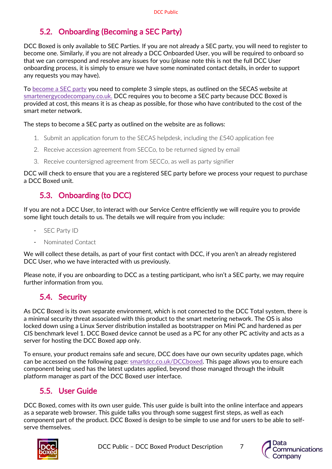# 5.2. Onboarding (Becoming a SEC Party)

<span id="page-6-0"></span>DCC Boxed is only available to SEC Parties. If you are not already a SEC party, you will need to register to become one. Similarly, if you are not already a DCC Onboarded User, you will be required to onboard so that we can correspond and resolve any issues for you (please note this is not the full DCC User onboarding process, it is simply to ensure we have some nominated contact details, in order to support any requests you may have).

To [become a SEC party](https://smartenergycodecompany.co.uk/becoming-a-sec-party/) you need to complete 3 simple steps, as outlined on the SECAS website at smartenergycodecompany.co.uk. DCC requires you to become a SEC party because DCC Boxed is provided at cost, this means it is as cheap as possible, for those who have contributed to the cost of the smart meter network.

The steps to become a SEC party as outlined on the website are as follows:

- 1. Submit an application forum to the SECAS helpdesk, including the £540 application fee
- 2. Receive accession agreement from SECCo, to be returned signed by email
- 3. Receive countersigned agreement from SECCo, as well as party signifier

DCC will check to ensure that you are a registered SEC party before we process your request to purchase a DCC Boxed unit.

# 5.3. Onboarding (to DCC)

<span id="page-6-1"></span>If you are not a DCC User, to interact with our Service Centre efficiently we will require you to provide some light touch details to us. The details we will require from you include:

- SEC Party ID
- Nominated Contact

We will collect these details, as part of your first contact with DCC, if you aren't an already registered DCC User, who we have interacted with us previously.

Please note, if you are onboarding to DCC as a testing participant, who isn't a SEC party, we may require further information from you.

### 5.4. Security

<span id="page-6-2"></span>As DCC Boxed is its own separate environment, which is not connected to the DCC Total system, there is a minimal security threat associated with this product to the smart metering network. The OS is also locked down using a Linux Server distribution installed as bootstrapper on Mini PC and hardened as per CIS benchmark level 1. DCC Boxed device cannot be used as a PC for any other PC activity and acts as a server for hosting the DCC Boxed app only.

To ensure, your product remains safe and secure, DCC does have our own security updates page, which can be accessed on [the following](http://www.smartdcc.co.uk/boxed) page: smartdcc.co.uk/DCCboxed. This page allows you to ensure each component being used has the latest updates applied, beyond those managed through the inbuilt platform manager as part of the DCC Boxed user interface.

# 5.5. User Guide

<span id="page-6-3"></span>DCC Boxed, comes with its own user guide. This user guide is built into the online interface and appears as a separate web browser. This guide talks you through some suggest first steps, as well as each component part of the product. DCC Boxed is design to be simple to use and for users to be able to selfserve themselves.



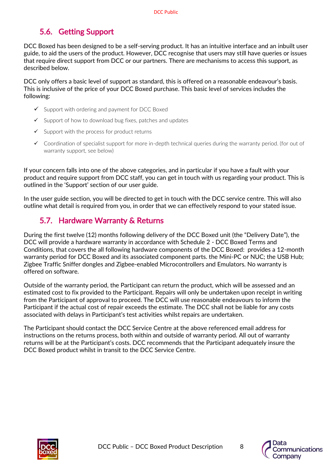# 5.6. Getting Support

<span id="page-7-0"></span>DCC Boxed has been designed to be a self-serving product. It has an intuitive interface and an inbuilt user guide, to aid the users of the product. However, DCC recognise that users may still have queries or issues that require direct support from DCC or our partners. There are mechanisms to access this support, as described below.

DCC only offers a basic level of support as standard, this is offered on a reasonable endeavour's basis. This is inclusive of the price of your DCC Boxed purchase. This basic level of services includes the following:

- $\checkmark$  Support with ordering and payment for DCC Boxed
- $\checkmark$  Support of how to download bug fixes, patches and updates
- $\checkmark$  Support with the process for product returns
- ✓ Coordination of specialist support for more in-depth technical queries during the warranty period. (for out of warranty support, see below)

If your concern falls into one of the above categories, and in particular if you have a fault with your product and require support from DCC staff, you can get in touch with us regarding your product. This is outlined in the 'Support' section of our user guide.

In the user guide section, you will be directed to get in touch with the DCC service centre. This will also outline what detail is required from you, in order that we can effectively respond to your stated issue.

# 5.7. Hardware Warranty & Returns

<span id="page-7-1"></span>During the first twelve (12) months following delivery of the DCC Boxed unit (the "Delivery Date"), the DCC will provide a hardware warranty in accordance with Schedule 2 - DCC Boxed Terms and Conditions, that covers the all following hardware components of the DCC Boxed: provides a 12-month warranty period for DCC Boxed and its associated component parts. the Mini-PC or NUC; the USB Hub; Zigbee Traffic Sniffer dongles and Zigbee-enabled Microcontrollers and Emulators. No warranty is offered on software.

Outside of the warranty period, the Participant can return the product, which will be assessed and an estimated cost to fix provided to the Participant. Repairs will only be undertaken upon receipt in writing from the Participant of approval to proceed. The DCC will use reasonable endeavours to inform the Participant if the actual cost of repair exceeds the estimate. The DCC shall not be liable for any costs associated with delays in Participant's test activities whilst repairs are undertaken.

The Participant should contact the DCC Service Centre at the above referenced email address for instructions on the returns process, both within and outside of warranty period. All out of warranty returns will be at the Participant's costs. DCC recommends that the Participant adequately insure the DCC Boxed product whilst in transit to the DCC Service Centre.